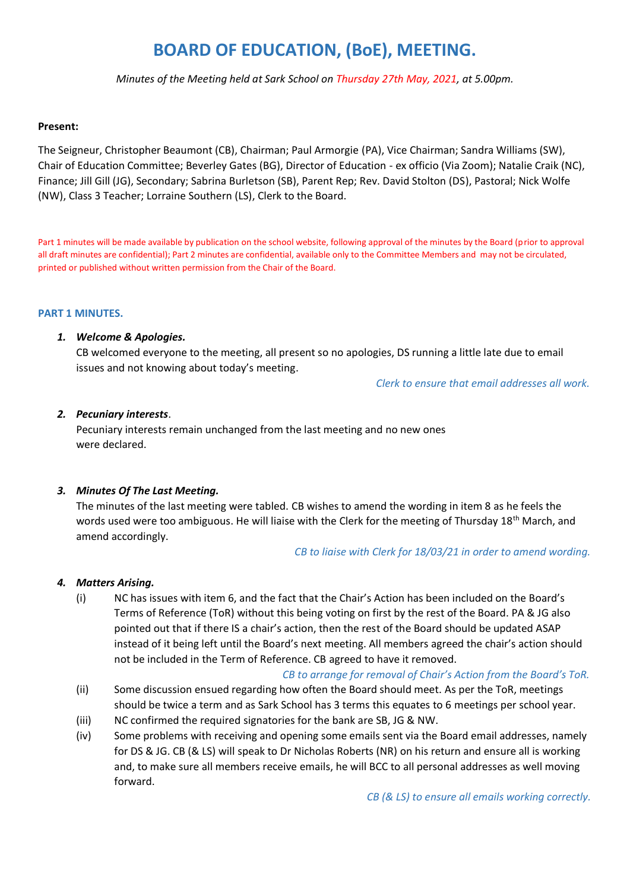## **BOARD OF EDUCATION, (BoE), MEETING.**

*Minutes of the Meeting held at Sark School on Thursday 27th May, 2021, at 5.00pm.*

#### **Present:**

The Seigneur, Christopher Beaumont (CB), Chairman; Paul Armorgie (PA), Vice Chairman; Sandra Williams (SW), Chair of Education Committee; Beverley Gates (BG), Director of Education - ex officio (Via Zoom); Natalie Craik (NC), Finance; Jill Gill (JG), Secondary; Sabrina Burletson (SB), Parent Rep; Rev. David Stolton (DS), Pastoral; Nick Wolfe (NW), Class 3 Teacher; Lorraine Southern (LS), Clerk to the Board.

Part 1 minutes will be made available by publication on the school website, following approval of the minutes by the Board (prior to approval all draft minutes are confidential); Part 2 minutes are confidential, available only to the Committee Members and may not be circulated, printed or published without written permission from the Chair of the Board.

#### **PART 1 MINUTES.**

#### *1. Welcome & Apologies.*

CB welcomed everyone to the meeting, all present so no apologies, DS running a little late due to email issues and not knowing about today's meeting.

 *Clerk to ensure that email addresses all work.* 

#### *2. Pecuniary interests*.

Pecuniary interests remain unchanged from the last meeting and no new ones were declared.

#### *3. Minutes Of The Last Meeting.*

The minutes of the last meeting were tabled. CB wishes to amend the wording in item 8 as he feels the words used were too ambiguous. He will liaise with the Clerk for the meeting of Thursday 18<sup>th</sup> March, and amend accordingly.

#### *CB to liaise with Clerk for 18/03/21 in order to amend wording.*

#### *4. Matters Arising.*

(i) NC has issues with item 6, and the fact that the Chair's Action has been included on the Board's Terms of Reference (ToR) without this being voting on first by the rest of the Board. PA & JG also pointed out that if there IS a chair's action, then the rest of the Board should be updated ASAP instead of it being left until the Board's next meeting. All members agreed the chair's action should not be included in the Term of Reference. CB agreed to have it removed.

#### *CB to arrange for removal of Chair's Action from the Board's ToR.*

- (ii) Some discussion ensued regarding how often the Board should meet. As per the ToR, meetings should be twice a term and as Sark School has 3 terms this equates to 6 meetings per school year.
- (iii) NC confirmed the required signatories for the bank are SB, JG & NW.
- (iv) Some problems with receiving and opening some emails sent via the Board email addresses, namely for DS & JG. CB (& LS) will speak to Dr Nicholas Roberts (NR) on his return and ensure all is working and, to make sure all members receive emails, he will BCC to all personal addresses as well moving forward.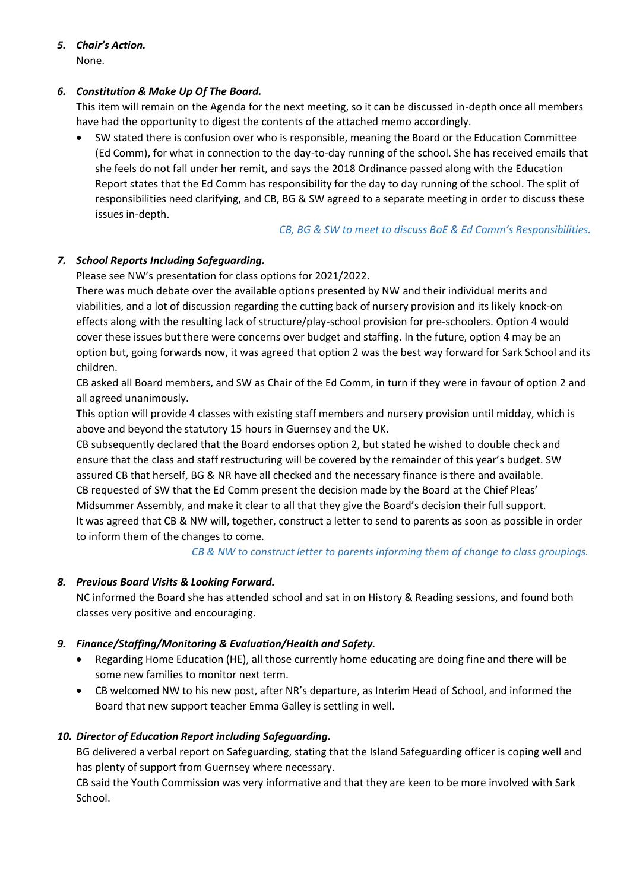# *5. Chair's Action.*

## None.

## *6. Constitution & Make Up Of The Board.*

This item will remain on the Agenda for the next meeting, so it can be discussed in-depth once all members have had the opportunity to digest the contents of the attached memo accordingly.

 SW stated there is confusion over who is responsible, meaning the Board or the Education Committee (Ed Comm), for what in connection to the day-to-day running of the school. She has received emails that she feels do not fall under her remit, and says the 2018 Ordinance passed along with the Education Report states that the Ed Comm has responsibility for the day to day running of the school. The split of responsibilities need clarifying, and CB, BG & SW agreed to a separate meeting in order to discuss these issues in-depth.

## *CB, BG & SW to meet to discuss BoE & Ed Comm's Responsibilities.*

## *7. School Reports Including Safeguarding.*

Please see NW's presentation for class options for 2021/2022.

There was much debate over the available options presented by NW and their individual merits and viabilities, and a lot of discussion regarding the cutting back of nursery provision and its likely knock-on effects along with the resulting lack of structure/play-school provision for pre-schoolers. Option 4 would cover these issues but there were concerns over budget and staffing. In the future, option 4 may be an option but, going forwards now, it was agreed that option 2 was the best way forward for Sark School and its children.

CB asked all Board members, and SW as Chair of the Ed Comm, in turn if they were in favour of option 2 and all agreed unanimously.

This option will provide 4 classes with existing staff members and nursery provision until midday, which is above and beyond the statutory 15 hours in Guernsey and the UK.

CB subsequently declared that the Board endorses option 2, but stated he wished to double check and ensure that the class and staff restructuring will be covered by the remainder of this year's budget. SW assured CB that herself, BG & NR have all checked and the necessary finance is there and available. CB requested of SW that the Ed Comm present the decision made by the Board at the Chief Pleas' Midsummer Assembly, and make it clear to all that they give the Board's decision their full support. It was agreed that CB & NW will, together, construct a letter to send to parents as soon as possible in order to inform them of the changes to come.

## *CB & NW to construct letter to parents informing them of change to class groupings.*

## *8. Previous Board Visits & Looking Forward.*

NC informed the Board she has attended school and sat in on History & Reading sessions, and found both classes very positive and encouraging.

## *9. Finance/Staffing/Monitoring & Evaluation/Health and Safety.*

- Regarding Home Education (HE), all those currently home educating are doing fine and there will be some new families to monitor next term.
- CB welcomed NW to his new post, after NR's departure, as Interim Head of School, and informed the Board that new support teacher Emma Galley is settling in well.

## *10. Director of Education Report including Safeguarding.*

BG delivered a verbal report on Safeguarding, stating that the Island Safeguarding officer is coping well and has plenty of support from Guernsey where necessary.

CB said the Youth Commission was very informative and that they are keen to be more involved with Sark School.